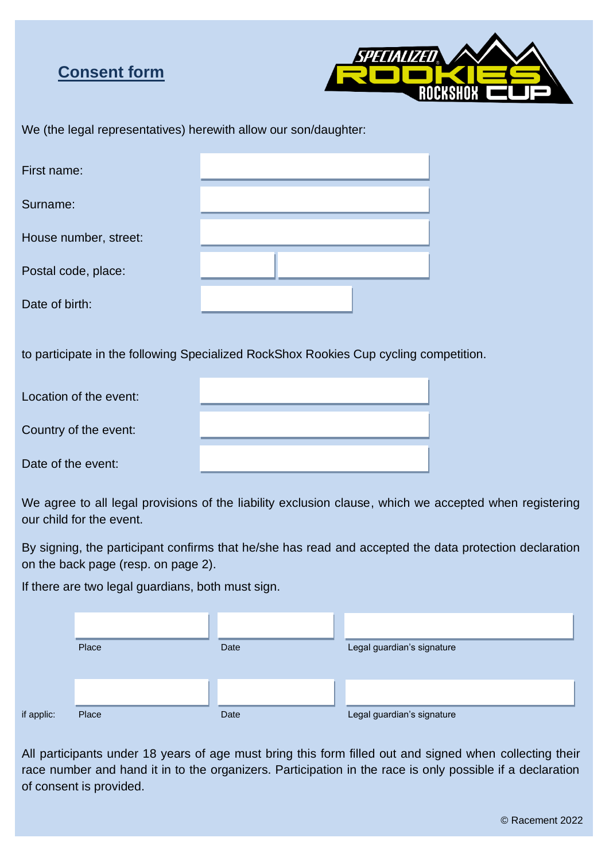# **Consent form**



|  | We (the legal representatives) herewith allow our son/daughter: |  |  |
|--|-----------------------------------------------------------------|--|--|
|  |                                                                 |  |  |

| First name:                                                                           |  |  |  |  |  |  |  |  |
|---------------------------------------------------------------------------------------|--|--|--|--|--|--|--|--|
| Surname:                                                                              |  |  |  |  |  |  |  |  |
| House number, street:                                                                 |  |  |  |  |  |  |  |  |
| Postal code, place:                                                                   |  |  |  |  |  |  |  |  |
| Date of birth:                                                                        |  |  |  |  |  |  |  |  |
| to participate in the following Specialized RockShox Rookies Cup cycling competition. |  |  |  |  |  |  |  |  |
| Location of the event:                                                                |  |  |  |  |  |  |  |  |
| Country of the event:                                                                 |  |  |  |  |  |  |  |  |
| Date of the event:                                                                    |  |  |  |  |  |  |  |  |

We agree to all legal provisions of the liability exclusion clause, which we accepted when registering our child for the event.

By signing, the participant confirms that he/she has read and accepted the data protection declaration on the back page (resp. on page 2).

If there are two legal guardians, both must sign.

|            | Place | Date | Legal guardian's signature |
|------------|-------|------|----------------------------|
|            |       |      |                            |
| if applic: | Place | Date | Legal guardian's signature |

All participants under 18 years of age must bring this form filled out and signed when collecting their race number and hand it in to the organizers. Participation in the race is only possible if a declaration of consent is provided.